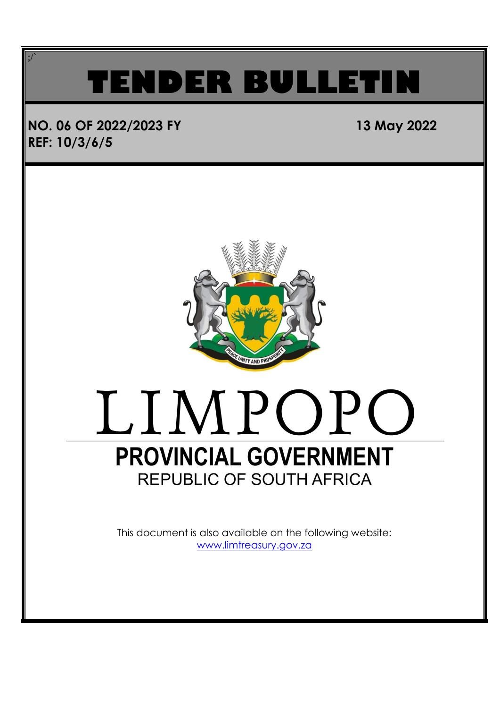### **TENDER BULLET**

### **NO. 06 OF 2022/2023 FY 13 May 2022 REF: 10/3/6/5**

;/`



## LIMPOPO **PROVINCIAL GOVERNMENT**

This document is also available on the following website: [www.limtreasury.gov.za](http://www.limtreasury.gov.za/)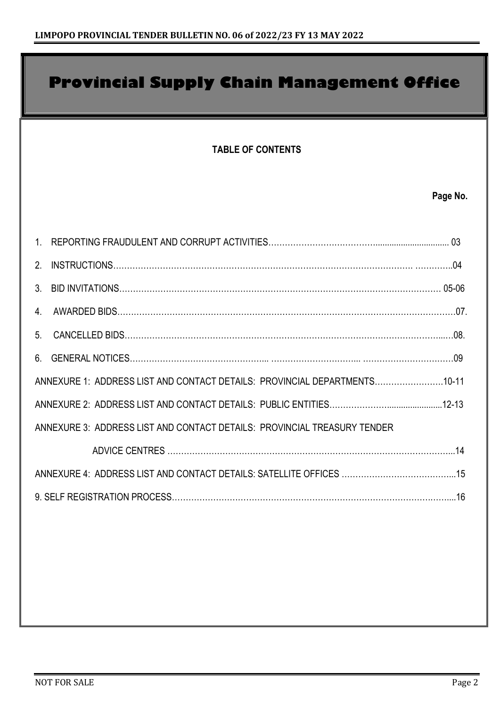### **Provincial Supply Chain Management Office**

#### **TABLE OF CONTENTS**

#### **Page No.**

| 1                                                                         |  |
|---------------------------------------------------------------------------|--|
| 2 <sup>1</sup>                                                            |  |
| $3_{-}$                                                                   |  |
| 4.                                                                        |  |
| 5 <sub>1</sub>                                                            |  |
| 6                                                                         |  |
| ANNEXURE 1: ADDRESS LIST AND CONTACT DETAILS: PROVINCIAL DEPARTMENTS10-11 |  |
|                                                                           |  |
| ANNEXURE 3: ADDRESS LIST AND CONTACT DETAILS: PROVINCIAL TREASURY TENDER  |  |
|                                                                           |  |
|                                                                           |  |
|                                                                           |  |
|                                                                           |  |
|                                                                           |  |
|                                                                           |  |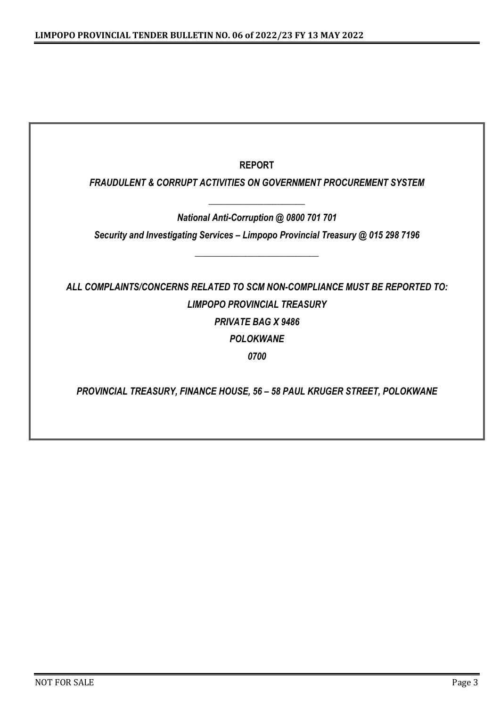| <b>REPORT</b>                                                                    |
|----------------------------------------------------------------------------------|
| <b>FRAUDULENT &amp; CORRUPT ACTIVITIES ON GOVERNMENT PROCUREMENT SYSTEM</b>      |
| National Anti-Corruption @ 0800 701 701                                          |
| Security and Investigating Services - Limpopo Provincial Treasury @ 015 298 7196 |
|                                                                                  |
| ALL COMPLAINTS/CONCERNS RELATED TO SCM NON-COMPLIANCE MUST BE REPORTED TO:       |
| <b>LIMPOPO PROVINCIAL TREASURY</b>                                               |
| <b>PRIVATE BAG X 9486</b>                                                        |
| <b>POLOKWANE</b>                                                                 |
| 0700                                                                             |
|                                                                                  |
| PROVINCIAL TREASURY, FINANCE HOUSE, 56 - 58 PAUL KRUGER STREET, POLOKWANE        |
|                                                                                  |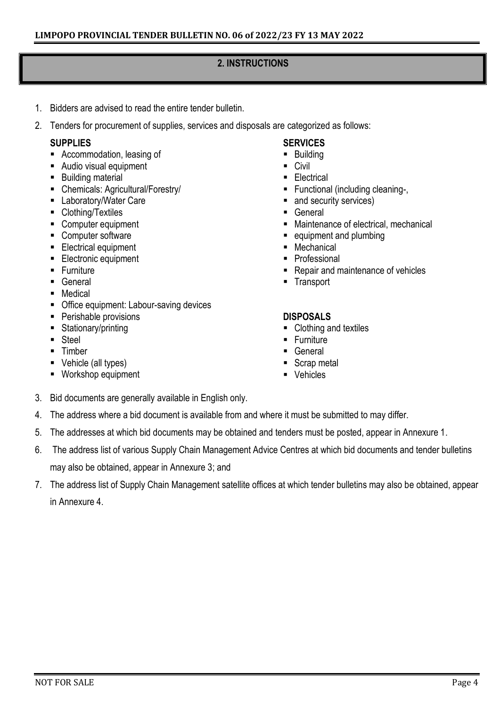#### **2. INSTRUCTIONS**

- 1. Bidders are advised to read the entire tender bulletin.
- 2. Tenders for procurement of supplies, services and disposals are categorized as follows:

#### **SUPPLIES**

- Accommodation, leasing of
- Audio visual equipment
- **Building material**
- Chemicals: Agricultural/Forestry/
- **Laboratory/Water Care**
- Clothing/Textiles
- Computer equipment
- Computer software
- **Electrical equipment**
- **Electronic equipment**
- **Furniture**
- **General**
- **•** Medical
- **Office equipment: Labour-saving devices**
- **Perishable provisions**
- Stationary/printing
- Steel
- **Timber**
- Vehicle (all types)
- Workshop equipment

#### **SERVICES**

- **Building**
- Civil
- **Electrical**
- Functional (including cleaning-,
- and security services)
- **General**
- Maintenance of electrical, mechanical
- equipment and plumbing
- Mechanical
- Professional
- Repair and maintenance of vehicles
- **Transport**

#### **DISPOSALS**

- Clothing and textiles
- **Furniture**
- **General**
- Scrap metal
- **vehicles**
- 3. Bid documents are generally available in English only.
- 4. The address where a bid document is available from and where it must be submitted to may differ.
- 5. The addresses at which bid documents may be obtained and tenders must be posted, appear in Annexure 1.
- 6. The address list of various Supply Chain Management Advice Centres at which bid documents and tender bulletins may also be obtained, appear in Annexure 3; and
- 7. The address list of Supply Chain Management satellite offices at which tender bulletins may also be obtained, appear in Annexure 4.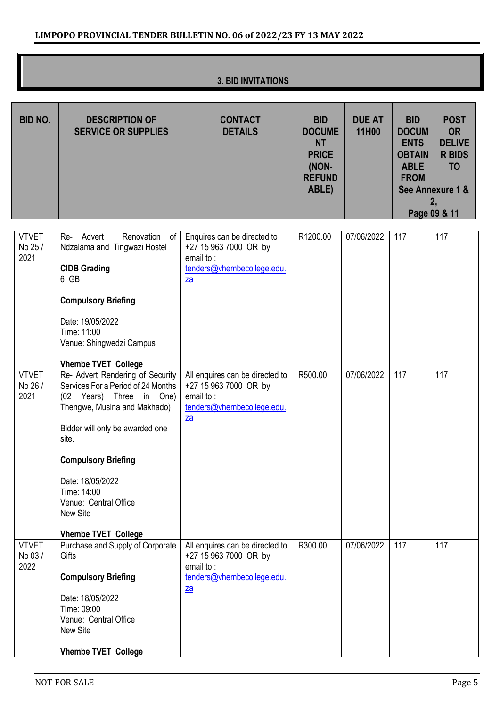| <b>3. BID INVITATIONS</b> |
|---------------------------|
|---------------------------|

| <b>BID NO.</b>                  | <b>DESCRIPTION OF</b><br><b>SERVICE OR SUPPLIES</b>                                                                                                                                                                                                                                                                                                     | <b>CONTACT</b><br><b>DETAILS</b>                                                                                                 | <b>BID</b><br><b>DOCUME</b><br><b>NT</b><br><b>PRICE</b><br>(NON-<br><b>REFUND</b><br>ABLE) | <b>DUE AT</b><br>11H00 | <b>BID</b><br><b>DOCUM</b><br><b>ENTS</b><br><b>OBTAIN</b><br><b>ABLE</b><br><b>FROM</b> | <b>POST</b><br><b>OR</b><br><b>DELIVE</b><br><b>R BIDS</b><br><b>TO</b><br>See Annexure 1 &<br>2,<br>Page 09 & 11 |
|---------------------------------|---------------------------------------------------------------------------------------------------------------------------------------------------------------------------------------------------------------------------------------------------------------------------------------------------------------------------------------------------------|----------------------------------------------------------------------------------------------------------------------------------|---------------------------------------------------------------------------------------------|------------------------|------------------------------------------------------------------------------------------|-------------------------------------------------------------------------------------------------------------------|
| <b>VTVET</b><br>No 25 /<br>2021 | Re- Advert<br>Renovation<br>of<br>Ndzalama and Tingwazi Hostel<br><b>CIDB Grading</b><br>6 GB<br><b>Compulsory Briefing</b><br>Date: 19/05/2022<br>Time: 11:00<br>Venue: Shingwedzi Campus                                                                                                                                                              | Enquires can be directed to<br>+27 15 963 7000 OR by<br>email to:<br>tenders@vhembecollege.edu.<br>$\underline{\mathsf{za}}$     | R1200.00                                                                                    | 07/06/2022             | 117                                                                                      | 117                                                                                                               |
| <b>VTVET</b><br>No 26 /<br>2021 | <b>Vhembe TVET College</b><br>Re- Advert Rendering of Security<br>Services For a Period of 24 Months<br>(02 Years) Three in One)<br>Thengwe, Musina and Makhado)<br>Bidder will only be awarded one<br>site.<br><b>Compulsory Briefing</b><br>Date: 18/05/2022<br>Time: 14:00<br>Venue: Central Office<br><b>New Site</b><br><b>Vhembe TVET College</b> | All enquires can be directed to<br>+27 15 963 7000 OR by<br>email to:<br>tenders@vhembecollege.edu.<br>$\underline{\mathsf{za}}$ | R500.00                                                                                     | 07/06/2022             | 117                                                                                      | 117                                                                                                               |
| <b>VTVET</b><br>No 03/<br>2022  | Purchase and Supply of Corporate<br>Gifts<br><b>Compulsory Briefing</b><br>Date: 18/05/2022<br>Time: 09:00<br>Venue: Central Office<br>New Site<br><b>Vhembe TVET College</b>                                                                                                                                                                           | All enquires can be directed to<br>+27 15 963 7000 OR by<br>email to:<br>tenders@vhembecollege.edu.<br>$\underline{\mathsf{za}}$ | R300.00                                                                                     | 07/06/2022             | 117                                                                                      | 117                                                                                                               |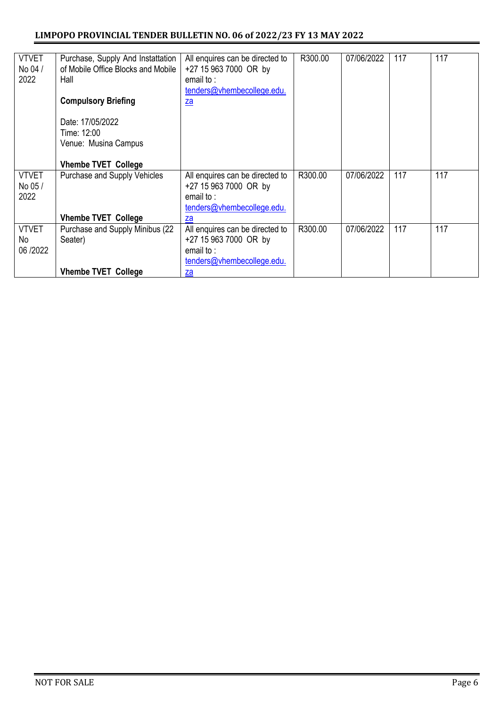#### **LIMPOPO PROVINCIAL TENDER BULLETIN NO. 06 of 2022/23 FY 13 MAY 2022**

| <b>VTVET</b> | Purchase, Supply And Instattation  | All enquires can be directed to | R300.00 | 07/06/2022 | 117 | 117 |
|--------------|------------------------------------|---------------------------------|---------|------------|-----|-----|
| No 04 /      | of Mobile Office Blocks and Mobile | +27 15 963 7000 OR by           |         |            |     |     |
| 2022         | Hall                               | email to:                       |         |            |     |     |
|              |                                    | tenders@vhembecollege.edu.      |         |            |     |     |
|              | <b>Compulsory Briefing</b>         | $\underline{\mathsf{za}}$       |         |            |     |     |
|              | Date: 17/05/2022                   |                                 |         |            |     |     |
|              | Time: 12:00                        |                                 |         |            |     |     |
|              | Venue: Musina Campus               |                                 |         |            |     |     |
|              |                                    |                                 |         |            |     |     |
|              |                                    |                                 |         |            |     |     |
|              | <b>Vhembe TVET College</b>         |                                 |         |            |     |     |
| <b>VTVET</b> | Purchase and Supply Vehicles       | All enquires can be directed to | R300.00 | 07/06/2022 | 117 | 117 |
| No 05/       |                                    | +27 15 963 7000 OR by           |         |            |     |     |
| 2022         |                                    | email to:                       |         |            |     |     |
|              |                                    | tenders@vhembecollege.edu.      |         |            |     |     |
|              | <b>Vhembe TVET College</b>         | za                              |         |            |     |     |
| <b>VTVET</b> | Purchase and Supply Minibus (22    | All enquires can be directed to | R300.00 | 07/06/2022 | 117 | 117 |
| No           | Seater)                            | +27 15 963 7000 OR by           |         |            |     |     |
| 06/2022      |                                    | email to:                       |         |            |     |     |
|              |                                    | tenders@vhembecollege.edu.      |         |            |     |     |
|              |                                    |                                 |         |            |     |     |
|              | <b>Vhembe TVET College</b>         | za                              |         |            |     |     |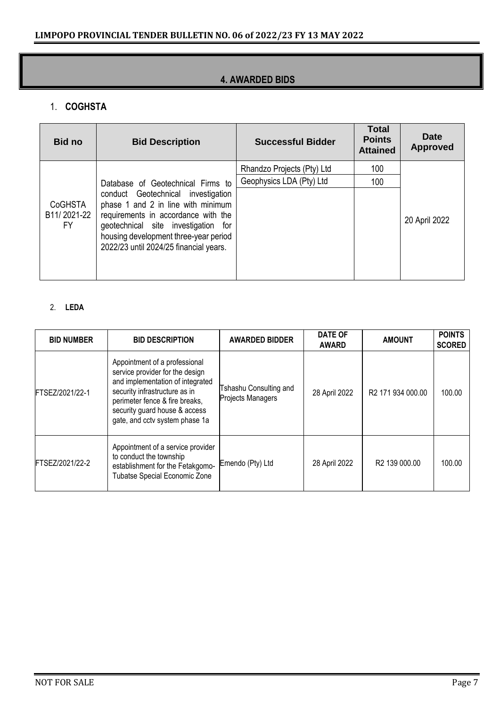#### **4. AWARDED BIDS**

#### 1. **COGHSTA**

| <b>Bid no</b>                | <b>Bid Description</b>                                                                                                                                                                                                                    | <b>Successful Bidder</b>   | <b>Total</b><br><b>Points</b><br><b>Attained</b> | Date<br><b>Approved</b> |
|------------------------------|-------------------------------------------------------------------------------------------------------------------------------------------------------------------------------------------------------------------------------------------|----------------------------|--------------------------------------------------|-------------------------|
|                              |                                                                                                                                                                                                                                           | Rhandzo Projects (Pty) Ltd | 100                                              |                         |
|                              | Database of Geotechnical Firms to                                                                                                                                                                                                         | Geophysics LDA (Pty) Ltd   | 100                                              |                         |
| CoGHSTA<br>B11/2021-22<br>FY | conduct Geotechnical investigation<br>phase 1 and 2 in line with minimum<br>requirements in accordance with the<br>geotechnical site investigation for<br>housing development three-year period<br>2022/23 until 2024/25 financial years. |                            |                                                  | 20 April 2022           |

#### 2. **LEDA**

| <b>BID NUMBER</b> | <b>BID DESCRIPTION</b>                                                                                                                                                                                                                     | <b>AWARDED BIDDER</b>                       | DATE OF<br><b>AWARD</b> | <b>AMOUNT</b>                 | <b>POINTS</b><br><b>SCORED</b> |
|-------------------|--------------------------------------------------------------------------------------------------------------------------------------------------------------------------------------------------------------------------------------------|---------------------------------------------|-------------------------|-------------------------------|--------------------------------|
| FTSEZ/2021/22-1   | Appointment of a professional<br>service provider for the design<br>and implementation of integrated<br>security infrastructure as in<br>perimeter fence & fire breaks,<br>security guard house & access<br>gate, and cctv system phase 1a | Tshashu Consulting and<br>Projects Managers | 28 April 2022           | R <sub>2</sub> 171 934 000.00 | 100.00                         |
| FTSEZ/2021/22-2   | Appointment of a service provider<br>to conduct the township<br>establishment for the Fetakgomo-<br><b>Tubatse Special Economic Zone</b>                                                                                                   | Emendo (Pty) Ltd                            | 28 April 2022           | R <sub>2</sub> 139 000.00     | 100.00                         |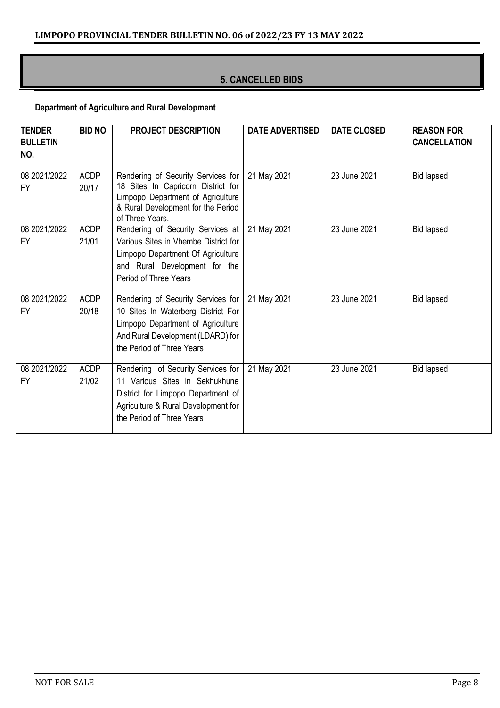#### **5. CANCELLED BIDS**

#### **Department of Agriculture and Rural Development**

| <b>TENDER</b><br><b>BULLETIN</b><br>NO. | <b>BID NO</b>        | <b>PROJECT DESCRIPTION</b>                                                                                                                                                      | <b>DATE ADVERTISED</b> | <b>DATE CLOSED</b> | <b>REASON FOR</b><br><b>CANCELLATION</b> |
|-----------------------------------------|----------------------|---------------------------------------------------------------------------------------------------------------------------------------------------------------------------------|------------------------|--------------------|------------------------------------------|
| 08 2021/2022<br><b>FY</b>               | <b>ACDP</b><br>20/17 | Rendering of Security Services for<br>18 Sites In Capricorn District for<br>Limpopo Department of Agriculture<br>& Rural Development for the Period<br>of Three Years.          | 21 May 2021            | 23 June 2021       | <b>Bid lapsed</b>                        |
| 08 2021/2022<br><b>FY</b>               | <b>ACDP</b><br>21/01 | Rendering of Security Services at  <br>Various Sites in Vhembe District for<br>Limpopo Department Of Agriculture<br>and Rural Development for the<br>Period of Three Years      | 21 May 2021            | 23 June 2021       | <b>Bid lapsed</b>                        |
| 08 2021/2022<br>FY                      | <b>ACDP</b><br>20/18 | Rendering of Security Services for<br>10 Sites In Waterberg District For<br>Limpopo Department of Agriculture<br>And Rural Development (LDARD) for<br>the Period of Three Years | 21 May 2021            | 23 June 2021       | <b>Bid lapsed</b>                        |
| 08 2021/2022<br><b>FY</b>               | <b>ACDP</b><br>21/02 | Rendering of Security Services for<br>11 Various Sites in Sekhukhune<br>District for Limpopo Department of<br>Agriculture & Rural Development for<br>the Period of Three Years  | 21 May 2021            | 23 June 2021       | <b>Bid lapsed</b>                        |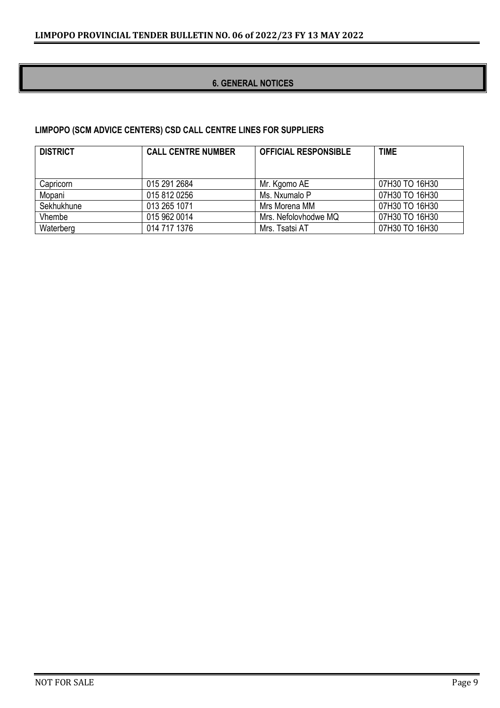#### **6. GENERAL NOTICES**

#### **LIMPOPO (SCM ADVICE CENTERS) CSD CALL CENTRE LINES FOR SUPPLIERS**

| <b>DISTRICT</b> | <b>CALL CENTRE NUMBER</b> | <b>OFFICIAL RESPONSIBLE</b> | <b>TIME</b>    |
|-----------------|---------------------------|-----------------------------|----------------|
|                 |                           |                             |                |
| Capricorn       | 015 291 2684              | Mr. Kgomo AE                | 07H30 TO 16H30 |
| Mopani          | 015 812 0256              | Ms. Nxumalo P               | 07H30 TO 16H30 |
| Sekhukhune      | 013 265 1071              | Mrs Morena MM               | 07H30 TO 16H30 |
| Vhembe          | 015 962 0014              | Mrs. Nefolovhodwe MQ        | 07H30 TO 16H30 |
| Waterberg       | 014 717 1376              | Mrs. Tsatsi AT              | 07H30 TO 16H30 |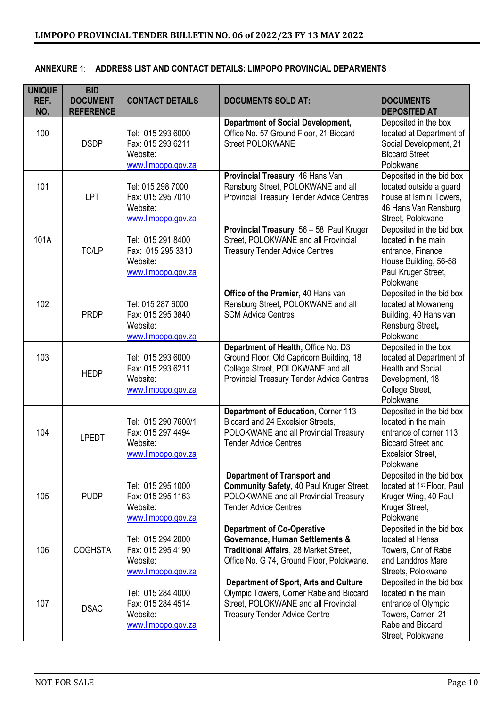| <b>UNIQUE</b><br>REF.<br>NO. | <b>BID</b><br><b>DOCUMENT</b><br><b>REFERENCE</b> | <b>CONTACT DETAILS</b>                                                     | <b>DOCUMENTS SOLD AT:</b>                                                                                                                                                | <b>DOCUMENTS</b><br><b>DEPOSITED AT</b>                                                                                                         |
|------------------------------|---------------------------------------------------|----------------------------------------------------------------------------|--------------------------------------------------------------------------------------------------------------------------------------------------------------------------|-------------------------------------------------------------------------------------------------------------------------------------------------|
| 100                          | <b>DSDP</b>                                       | Tel: 015 293 6000<br>Fax: 015 293 6211<br>Website:<br>www.limpopo.gov.za   | <b>Department of Social Development,</b><br>Office No. 57 Ground Floor, 21 Biccard<br><b>Street POLOKWANE</b>                                                            | Deposited in the box<br>located at Department of<br>Social Development, 21<br><b>Biccard Street</b><br>Polokwane                                |
| 101                          | LPT                                               | Tel: 015 298 7000<br>Fax: 015 295 7010<br>Website:<br>www.limpopo.gov.za   | Provincial Treasury 46 Hans Van<br>Rensburg Street, POLOKWANE and all<br><b>Provincial Treasury Tender Advice Centres</b>                                                | Deposited in the bid box<br>located outside a guard<br>house at Ismini Towers,<br>46 Hans Van Rensburg<br>Street, Polokwane                     |
| 101A                         | TC/LP                                             | Tel: 015 291 8400<br>Fax: 015 295 3310<br>Website:<br>www.limpopo.gov.za   | Provincial Treasury 56 - 58 Paul Kruger<br>Street, POLOKWANE and all Provincial<br><b>Treasury Tender Advice Centres</b>                                                 | Deposited in the bid box<br>located in the main<br>entrance, Finance<br>House Building, 56-58<br>Paul Kruger Street,<br>Polokwane               |
| 102                          | <b>PRDP</b>                                       | Tel: 015 287 6000<br>Fax: 015 295 3840<br>Website:<br>www.limpopo.gov.za   | Office of the Premier, 40 Hans van<br>Rensburg Street, POLOKWANE and all<br><b>SCM Advice Centres</b>                                                                    | Deposited in the bid box<br>located at Mowaneng<br>Building, 40 Hans van<br>Rensburg Street,<br>Polokwane                                       |
| 103                          | <b>HEDP</b>                                       | Tel: 015 293 6000<br>Fax: 015 293 6211<br>Website:<br>www.limpopo.gov.za   | Department of Health, Office No. D3<br>Ground Floor, Old Capricorn Building, 18<br>College Street, POLOKWANE and all<br><b>Provincial Treasury Tender Advice Centres</b> | Deposited in the box<br>located at Department of<br><b>Health and Social</b><br>Development, 18<br>College Street,<br>Polokwane                 |
| 104                          | <b>LPEDT</b>                                      | Tel: 015 290 7600/1<br>Fax: 015 297 4494<br>Website:<br>www.limpopo.gov.za | Department of Education, Corner 113<br>Biccard and 24 Excelsior Streets,<br>POLOKWANE and all Provincial Treasury<br><b>Tender Advice Centres</b>                        | Deposited in the bid box<br>located in the main<br>entrance of corner 113<br><b>Biccard Street and</b><br><b>Excelsior Street,</b><br>Polokwane |
| 105                          | <b>PUDP</b>                                       | Tel: 015 295 1000<br>Fax: 015 295 1163<br>Website:<br>www.limpopo.gov.za   | <b>Department of Transport and</b><br>Community Safety, 40 Paul Kruger Street,<br>POLOKWANE and all Provincial Treasury<br><b>Tender Advice Centres</b>                  | Deposited in the bid box<br>located at 1 <sup>st</sup> Floor, Paul<br>Kruger Wing, 40 Paul<br>Kruger Street,<br>Polokwane                       |
| 106                          | <b>COGHSTA</b>                                    | Tel: 015 294 2000<br>Fax: 015 295 4190<br>Website:<br>www.limpopo.gov.za   | <b>Department of Co-Operative</b><br>Governance, Human Settlements &<br>Traditional Affairs, 28 Market Street,<br>Office No. G 74, Ground Floor, Polokwane.              | Deposited in the bid box<br>located at Hensa<br>Towers, Cnr of Rabe<br>and Landdros Mare<br>Streets, Polokwane                                  |
| 107                          | <b>DSAC</b>                                       | Tel: 015 284 4000<br>Fax: 015 284 4514<br>Website:<br>www.limpopo.gov.za   | <b>Department of Sport, Arts and Culture</b><br>Olympic Towers, Corner Rabe and Biccard<br>Street, POLOKWANE and all Provincial<br><b>Treasury Tender Advice Centre</b>  | Deposited in the bid box<br>located in the main<br>entrance of Olympic<br>Towers, Corner 21<br>Rabe and Biccard<br>Street, Polokwane            |

#### **ANNEXURE 1**: **ADDRESS LIST AND CONTACT DETAILS: LIMPOPO PROVINCIAL DEPARMENTS**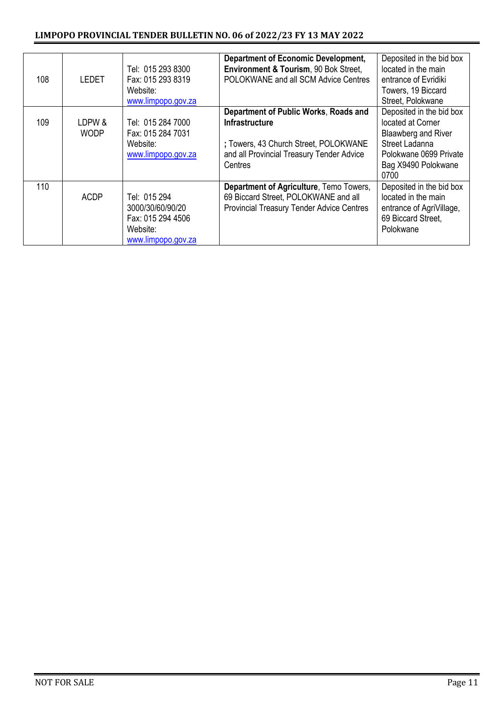| 108 | <b>LEDET</b>          | Tel: 015 293 8300<br>Fax: 015 293 8319<br>Website:<br>www.limpopo.gov.za                | <b>Department of Economic Development,</b><br>Environment & Tourism, 90 Bok Street,<br>POLOKWANE and all SCM Advice Centres                                     | Deposited in the bid box<br>located in the main<br>entrance of Evridiki<br>Towers, 19 Biccard<br>Street, Polokwane                              |
|-----|-----------------------|-----------------------------------------------------------------------------------------|-----------------------------------------------------------------------------------------------------------------------------------------------------------------|-------------------------------------------------------------------------------------------------------------------------------------------------|
| 109 | LDPW &<br><b>WODP</b> | Tel: 015 284 7000<br>Fax: 015 284 7031<br>Website:<br>www.limpopo.gov.za                | Department of Public Works, Roads and<br><b>Infrastructure</b><br>; Towers, 43 Church Street, POLOKWANE<br>and all Provincial Treasury Tender Advice<br>Centres | Deposited in the bid box<br>located at Corner<br>Blaawberg and River<br>Street Ladanna<br>Polokwane 0699 Private<br>Bag X9490 Polokwane<br>0700 |
| 110 | <b>ACDP</b>           | Tel: 015 294<br>3000/30/60/90/20<br>Fax: 015 294 4506<br>Website:<br>www.limpopo.gov.za | Department of Agriculture, Temo Towers,<br>69 Biccard Street, POLOKWANE and all<br><b>Provincial Treasury Tender Advice Centres</b>                             | Deposited in the bid box<br>located in the main<br>entrance of AgriVillage,<br>69 Biccard Street,<br>Polokwane                                  |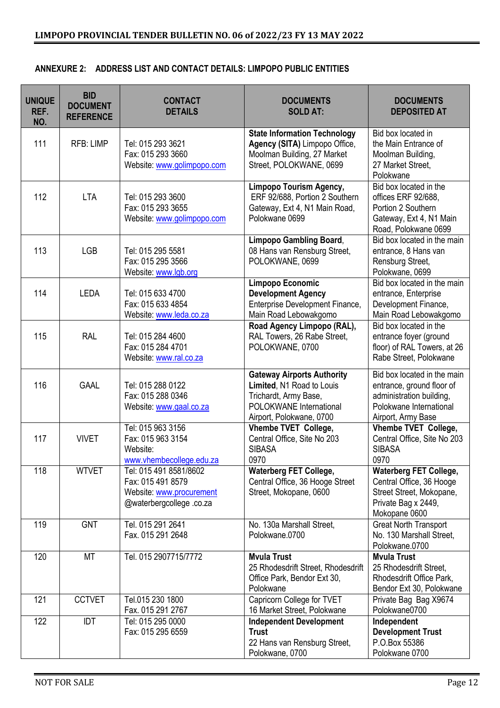|  | ANNEXURE 2: ADDRESS LIST AND CONTACT DETAILS: LIMPOPO PUBLIC ENTITIES |
|--|-----------------------------------------------------------------------|
|--|-----------------------------------------------------------------------|

| <b>UNIQUE</b><br>REF.<br>NO. | <b>BID</b><br><b>DOCUMENT</b><br><b>REFERENCE</b> | <b>CONTACT</b><br><b>DETAILS</b>                                                                   | <b>DOCUMENTS</b><br><b>SOLD AT:</b>                                                                                                            | <b>DOCUMENTS</b><br><b>DEPOSITED AT</b>                                                                                               |
|------------------------------|---------------------------------------------------|----------------------------------------------------------------------------------------------------|------------------------------------------------------------------------------------------------------------------------------------------------|---------------------------------------------------------------------------------------------------------------------------------------|
| 111                          | <b>RFB: LIMP</b>                                  | Tel: 015 293 3621<br>Fax: 015 293 3660<br>Website: www.golimpopo.com                               | <b>State Information Technology</b><br>Agency (SITA) Limpopo Office,<br>Moolman Building, 27 Market<br>Street, POLOKWANE, 0699                 | Bid box located in<br>the Main Entrance of<br>Moolman Building,<br>27 Market Street,<br>Polokwane                                     |
| 112                          | <b>LTA</b>                                        | Tel: 015 293 3600<br>Fax: 015 293 3655<br>Website: www.golimpopo.com                               | <b>Limpopo Tourism Agency,</b><br>ERF 92/688, Portion 2 Southern<br>Gateway, Ext 4, N1 Main Road,<br>Polokwane 0699                            | Bid box located in the<br>offices ERF 92/688.<br>Portion 2 Southern<br>Gateway, Ext 4, N1 Main<br>Road, Polokwane 0699                |
| 113                          | <b>LGB</b>                                        | Tel: 015 295 5581<br>Fax: 015 295 3566<br>Website: www.lgb.org                                     | <b>Limpopo Gambling Board,</b><br>08 Hans van Rensburg Street,<br>POLOKWANE, 0699                                                              | Bid box located in the main<br>entrance, 8 Hans van<br>Rensburg Street,<br>Polokwane, 0699                                            |
| 114                          | <b>LEDA</b>                                       | Tel: 015 633 4700<br>Fax: 015 633 4854<br>Website: www.leda.co.za                                  | Limpopo Economic<br><b>Development Agency</b><br>Enterprise Development Finance,<br>Main Road Lebowakgomo                                      | Bid box located in the main<br>entrance, Enterprise<br>Development Finance,<br>Main Road Lebowakgomo                                  |
| 115                          | <b>RAL</b>                                        | Tel: 015 284 4600<br>Fax: 015 284 4701<br>Website: www.ral.co.za                                   | Road Agency Limpopo (RAL),<br>RAL Towers, 26 Rabe Street,<br>POLOKWANE, 0700                                                                   | Bid box located in the<br>entrance foyer (ground<br>floor) of RAL Towers, at 26<br>Rabe Street, Polokwane                             |
| 116                          | <b>GAAL</b>                                       | Tel: 015 288 0122<br>Fax: 015 288 0346<br>Website: www.gaal.co.za                                  | <b>Gateway Airports Authority</b><br>Limited, N1 Road to Louis<br>Trichardt, Army Base,<br>POLOKWANE International<br>Airport, Polokwane, 0700 | Bid box located in the main<br>entrance, ground floor of<br>administration building,<br>Polokwane International<br>Airport, Army Base |
| 117                          | <b>VIVET</b>                                      | Tel: 015 963 3156<br>Fax: 015 963 3154<br>Website:<br>www.vhembecollege.edu.za                     | Vhembe TVET College,<br>Central Office, Site No 203<br><b>SIBASA</b><br>0970                                                                   | Vhembe TVET College,<br>Central Office, Site No 203<br><b>SIBASA</b><br>0970                                                          |
| 118                          | <b>WTVET</b>                                      | Tel: 015 491 8581/8602<br>Fax: 015 491 8579<br>Website: www.procurement<br>@waterbergcollege.co.za | <b>Waterberg FET College,</b><br>Central Office, 36 Hooge Street<br>Street, Mokopane, 0600                                                     | <b>Waterberg FET College,</b><br>Central Office, 36 Hooge<br>Street Street, Mokopane,<br>Private Bag x 2449,<br>Mokopane 0600         |
| 119                          | <b>GNT</b>                                        | Tel. 015 291 2641<br>Fax. 015 291 2648                                                             | No. 130a Marshall Street,<br>Polokwane.0700                                                                                                    | <b>Great North Transport</b><br>No. 130 Marshall Street,<br>Polokwane.0700                                                            |
| 120                          | <b>MT</b>                                         | Tel. 015 2907715/7772                                                                              | <b>Myula Trust</b><br>25 Rhodesdrift Street, Rhodesdrift<br>Office Park, Bendor Ext 30,<br>Polokwane                                           | <b>Mvula Trust</b><br>25 Rhodesdrift Street.<br>Rhodesdrift Office Park,<br>Bendor Ext 30, Polokwane                                  |
| 121                          | <b>CCTVET</b>                                     | Tel.015 230 1800<br>Fax. 015 291 2767                                                              | Capricorn College for TVET<br>16 Market Street, Polokwane                                                                                      | Private Bag Bag X9674<br>Polokwane0700                                                                                                |
| 122                          | <b>IDT</b>                                        | Tel: 015 295 0000<br>Fax: 015 295 6559                                                             | <b>Independent Development</b><br><b>Trust</b><br>22 Hans van Rensburg Street,<br>Polokwane, 0700                                              | Independent<br><b>Development Trust</b><br>P.O.Box 55386<br>Polokwane 0700                                                            |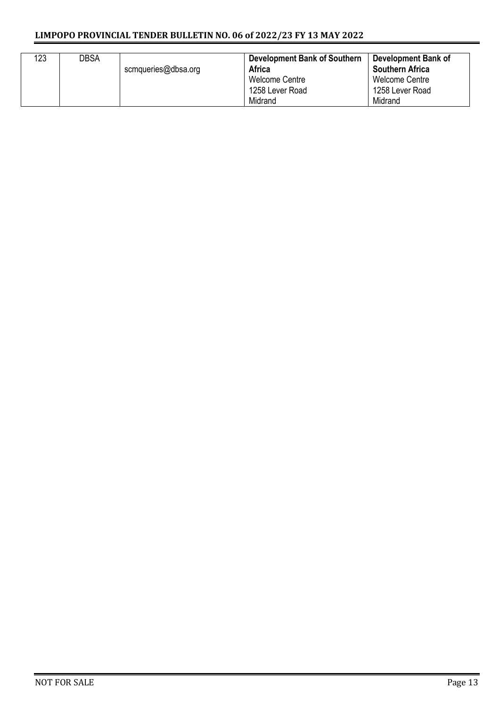#### **LIMPOPO PROVINCIAL TENDER BULLETIN NO. 06 of 2022/23 FY 13 MAY 2022**

| 123 | <b>DBSA</b> | scmqueries@dbsa.org | <b>Development Bank of Southern</b><br><b>Africa</b><br><b>Welcome Centre</b><br>1258 Lever Road<br>Midrand | Development Bank of<br><b>Southern Africa</b><br>Welcome Centre<br>1258 Lever Road<br>Midrand |
|-----|-------------|---------------------|-------------------------------------------------------------------------------------------------------------|-----------------------------------------------------------------------------------------------|
|-----|-------------|---------------------|-------------------------------------------------------------------------------------------------------------|-----------------------------------------------------------------------------------------------|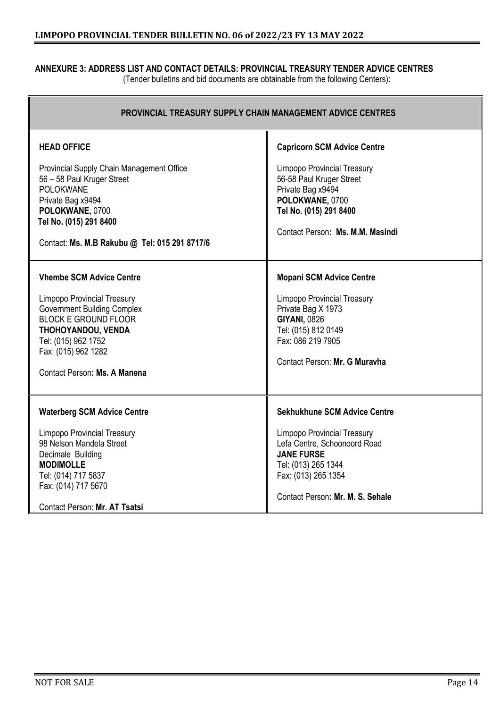#### **ANNEXURE 3: ADDRESS LIST AND CONTACT DETAILS: PROVINCIAL TREASURY TENDER ADVICE CENTRES** (Tender bulletins and bid documents are obtainable from the following Centers):

| <b>PROVINCIAL TREASURY SUPPLY CHAIN MANAGEMENT ADVICE CENTRES</b>                                                                                                                                                                              |                                                                                                                                                                                                           |  |  |  |  |
|------------------------------------------------------------------------------------------------------------------------------------------------------------------------------------------------------------------------------------------------|-----------------------------------------------------------------------------------------------------------------------------------------------------------------------------------------------------------|--|--|--|--|
| <b>HEAD OFFICE</b><br>Provincial Supply Chain Management Office<br>56 - 58 Paul Kruger Street<br><b>POLOKWANE</b><br>Private Bag x9494<br>POLOKWANE, 0700<br>Tel No. (015) 291 8400<br>Contact: Ms. M.B Rakubu @ Tel: 015 291 8717/6           | <b>Capricorn SCM Advice Centre</b><br>Limpopo Provincial Treasury<br>56-58 Paul Kruger Street<br>Private Bag x9494<br>POLOKWANE, 0700<br>Tel No. (015) 291 8400<br>Contact Person: Ms. M.M. Masindi       |  |  |  |  |
| <b>Vhembe SCM Advice Centre</b><br><b>Limpopo Provincial Treasury</b><br><b>Government Building Complex</b><br><b>BLOCK E GROUND FLOOR</b><br>THOHOYANDOU, VENDA<br>Tel: (015) 962 1752<br>Fax: (015) 962 1282<br>Contact Person: Ms. A Manena | <b>Mopani SCM Advice Centre</b><br>Limpopo Provincial Treasury<br>Private Bag X 1973<br><b>GIYANI, 0826</b><br>Tel: (015) 812 0149<br>Fax: 086 219 7905<br>Contact Person: Mr. G Muravha                  |  |  |  |  |
| <b>Waterberg SCM Advice Centre</b><br><b>Limpopo Provincial Treasury</b><br>98 Nelson Mandela Street<br>Decimale Building<br><b>MODIMOLLE</b><br>Tel: (014) 717 5837<br>Fax: (014) 717 5670<br>Contact Person: Mr. AT Tsatsi                   | Sekhukhune SCM Advice Centre<br><b>Limpopo Provincial Treasury</b><br>Lefa Centre, Schoonoord Road<br><b>JANE FURSE</b><br>Tel: (013) 265 1344<br>Fax: (013) 265 1354<br>Contact Person: Mr. M. S. Sehale |  |  |  |  |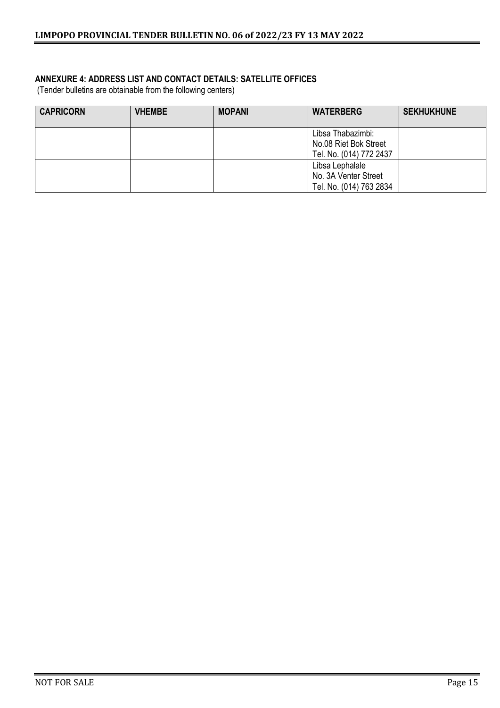#### **ANNEXURE 4: ADDRESS LIST AND CONTACT DETAILS: SATELLITE OFFICES**

(Tender bulletins are obtainable from the following centers)

| <b>CAPRICORN</b> | <b>VHEMBE</b> | <b>MOPANI</b> | <b>WATERBERG</b>                                                      | <b>SEKHUKHUNE</b> |
|------------------|---------------|---------------|-----------------------------------------------------------------------|-------------------|
|                  |               |               | Libsa Thabazimbi:<br>No.08 Riet Bok Street<br>Tel. No. (014) 772 2437 |                   |
|                  |               |               | Libsa Lephalale<br>No. 3A Venter Street<br>Tel. No. (014) 763 2834    |                   |